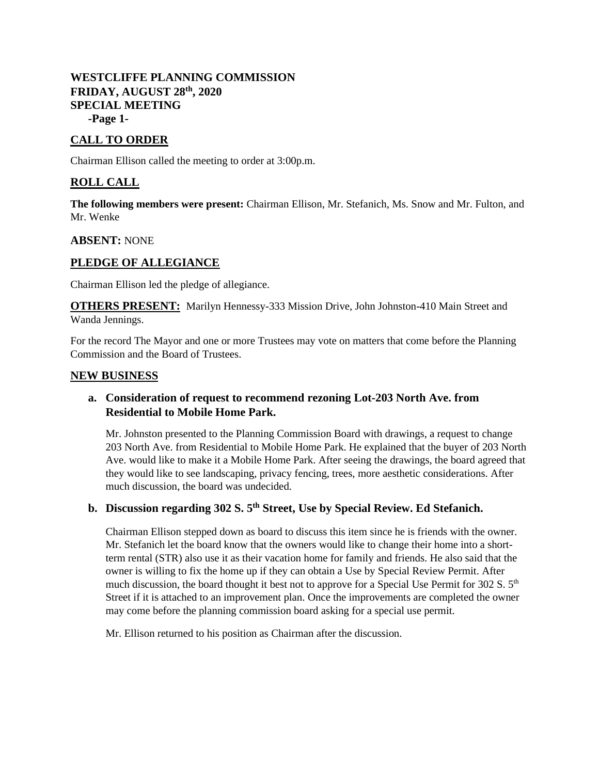# **WESTCLIFFE PLANNING COMMISSION FRIDAY, AUGUST 28th, 2020 SPECIAL MEETING**

**-Page 1-**

# **CALL TO ORDER**

Chairman Ellison called the meeting to order at 3:00p.m.

## **ROLL CALL**

**The following members were present:** Chairman Ellison, Mr. Stefanich, Ms. Snow and Mr. Fulton, and Mr. Wenke

#### **ABSENT:** NONE

### **PLEDGE OF ALLEGIANCE**

Chairman Ellison led the pledge of allegiance.

**OTHERS PRESENT:** Marilyn Hennessy-333 Mission Drive, John Johnston-410 Main Street and Wanda Jennings.

For the record The Mayor and one or more Trustees may vote on matters that come before the Planning Commission and the Board of Trustees.

#### **NEW BUSINESS**

## **a. Consideration of request to recommend rezoning Lot-203 North Ave. from Residential to Mobile Home Park.**

Mr. Johnston presented to the Planning Commission Board with drawings, a request to change 203 North Ave. from Residential to Mobile Home Park. He explained that the buyer of 203 North Ave. would like to make it a Mobile Home Park. After seeing the drawings, the board agreed that they would like to see landscaping, privacy fencing, trees, more aesthetic considerations. After much discussion, the board was undecided.

# **b. Discussion regarding 302 S. 5th Street, Use by Special Review. Ed Stefanich.**

Chairman Ellison stepped down as board to discuss this item since he is friends with the owner. Mr. Stefanich let the board know that the owners would like to change their home into a shortterm rental (STR) also use it as their vacation home for family and friends. He also said that the owner is willing to fix the home up if they can obtain a Use by Special Review Permit. After much discussion, the board thought it best not to approve for a Special Use Permit for 302 S.  $5<sup>th</sup>$ Street if it is attached to an improvement plan. Once the improvements are completed the owner may come before the planning commission board asking for a special use permit.

Mr. Ellison returned to his position as Chairman after the discussion.